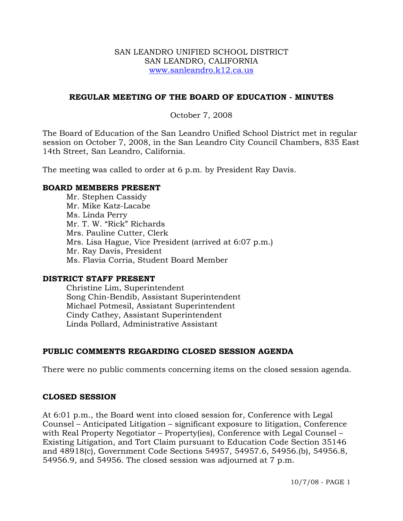#### SAN LEANDRO UNIFIED SCHOOL DISTRICT SAN LEANDRO, CALIFORNIA www.sanleandro.k12.ca.us

### **REGULAR MEETING OF THE BOARD OF EDUCATION - MINUTES**

### October 7, 2008

The Board of Education of the San Leandro Unified School District met in regular session on October 7, 2008, in the San Leandro City Council Chambers, 835 East 14th Street, San Leandro, California.

The meeting was called to order at 6 p.m. by President Ray Davis.

#### **BOARD MEMBERS PRESENT**

Mr. Stephen Cassidy Mr. Mike Katz-Lacabe Ms. Linda Perry Mr. T. W. "Rick" Richards Mrs. Pauline Cutter, Clerk Mrs. Lisa Hague, Vice President (arrived at 6:07 p.m.) Mr. Ray Davis, President Ms. Flavia Corria, Student Board Member

#### **DISTRICT STAFF PRESENT**

Christine Lim, Superintendent Song Chin-Bendib, Assistant Superintendent Michael Potmesil, Assistant Superintendent Cindy Cathey, Assistant Superintendent Linda Pollard, Administrative Assistant

## **PUBLIC COMMENTS REGARDING CLOSED SESSION AGENDA**

There were no public comments concerning items on the closed session agenda.

#### **CLOSED SESSION**

At 6:01 p.m., the Board went into closed session for, Conference with Legal Counsel – Anticipated Litigation – significant exposure to litigation, Conference with Real Property Negotiator – Property(ies), Conference with Legal Counsel – Existing Litigation, and Tort Claim pursuant to Education Code Section 35146 and 48918(c), Government Code Sections 54957, 54957.6, 54956.(b), 54956.8, 54956.9, and 54956. The closed session was adjourned at 7 p.m.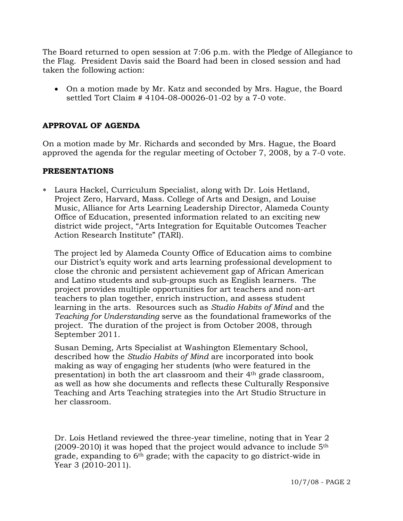The Board returned to open session at 7:06 p.m. with the Pledge of Allegiance to the Flag. President Davis said the Board had been in closed session and had taken the following action:

• On a motion made by Mr. Katz and seconded by Mrs. Hague, the Board settled Tort Claim # 4104-08-00026-01-02 by a 7-0 vote.

## **APPROVAL OF AGENDA**

On a motion made by Mr. Richards and seconded by Mrs. Hague, the Board approved the agenda for the regular meeting of October 7, 2008, by a 7-0 vote.

#### **PRESENTATIONS**

∗ Laura Hackel, Curriculum Specialist, along with Dr. Lois Hetland, Project Zero, Harvard, Mass. College of Arts and Design, and Louise Music, Alliance for Arts Learning Leadership Director, Alameda County Office of Education, presented information related to an exciting new district wide project, "Arts Integration for Equitable Outcomes Teacher Action Research Institute" (TARI).

 The project led by Alameda County Office of Education aims to combine our District's equity work and arts learning professional development to close the chronic and persistent achievement gap of African American and Latino students and sub-groups such as English learners. The project provides multiple opportunities for art teachers and non-art teachers to plan together, enrich instruction, and assess student learning in the arts. Resources such as *Studio Habits of Mind* and the *Teaching for Understanding* serve as the foundational frameworks of the project. The duration of the project is from October 2008, through September 2011.

 Susan Deming, Arts Specialist at Washington Elementary School, described how the *Studio Habits of Mind* are incorporated into book making as way of engaging her students (who were featured in the presentation) in both the art classroom and their 4th grade classroom, as well as how she documents and reflects these Culturally Responsive Teaching and Arts Teaching strategies into the Art Studio Structure in her classroom.

 Dr. Lois Hetland reviewed the three-year timeline, noting that in Year 2  $(2009-2010)$  it was hoped that the project would advance to include  $5<sup>th</sup>$  grade, expanding to 6th grade; with the capacity to go district-wide in Year 3 (2010-2011).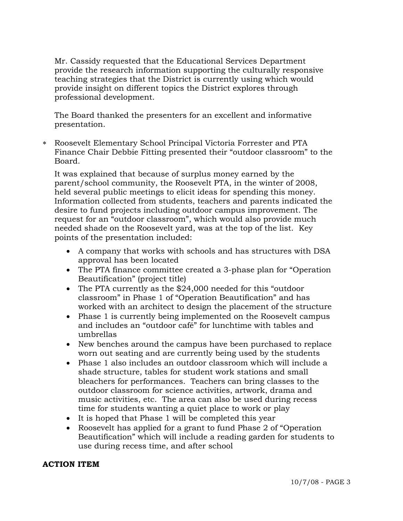Mr. Cassidy requested that the Educational Services Department provide the research information supporting the culturally responsive teaching strategies that the District is currently using which would provide insight on different topics the District explores through professional development.

 The Board thanked the presenters for an excellent and informative presentation.

∗ Roosevelt Elementary School Principal Victoria Forrester and PTA Finance Chair Debbie Fitting presented their "outdoor classroom" to the Board.

It was explained that because of surplus money earned by the parent/school community, the Roosevelt PTA, in the winter of 2008, held several public meetings to elicit ideas for spending this money. Information collected from students, teachers and parents indicated the desire to fund projects including outdoor campus improvement. The request for an "outdoor classroom", which would also provide much needed shade on the Roosevelt yard, was at the top of the list. Key points of the presentation included:

- A company that works with schools and has structures with DSA approval has been located
- The PTA finance committee created a 3-phase plan for "Operation Beautification" (project title)
- The PTA currently as the \$24,000 needed for this "outdoor classroom" in Phase 1 of "Operation Beautification" and has worked with an architect to design the placement of the structure
- Phase 1 is currently being implemented on the Roosevelt campus and includes an "outdoor café" for lunchtime with tables and umbrellas
- New benches around the campus have been purchased to replace worn out seating and are currently being used by the students
- Phase 1 also includes an outdoor classroom which will include a shade structure, tables for student work stations and small bleachers for performances. Teachers can bring classes to the outdoor classroom for science activities, artwork, drama and music activities, etc. The area can also be used during recess time for students wanting a quiet place to work or play
- It is hoped that Phase 1 will be completed this year
- Roosevelt has applied for a grant to fund Phase 2 of "Operation" Beautification" which will include a reading garden for students to use during recess time, and after school

## **ACTION ITEM**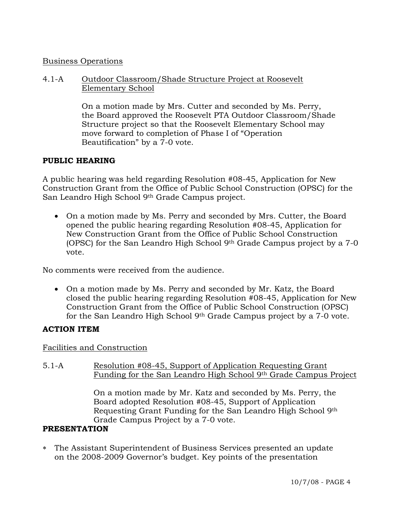## Business Operations

4.1-A Outdoor Classroom/Shade Structure Project at Roosevelt Elementary School

> On a motion made by Mrs. Cutter and seconded by Ms. Perry, the Board approved the Roosevelt PTA Outdoor Classroom/Shade Structure project so that the Roosevelt Elementary School may move forward to completion of Phase I of "Operation Beautification" by a 7-0 vote.

# **PUBLIC HEARING**

A public hearing was held regarding Resolution #08-45, Application for New Construction Grant from the Office of Public School Construction (OPSC) for the San Leandro High School 9th Grade Campus project.

• On a motion made by Ms. Perry and seconded by Mrs. Cutter, the Board opened the public hearing regarding Resolution #08-45, Application for New Construction Grant from the Office of Public School Construction (OPSC) for the San Leandro High School 9th Grade Campus project by a 7-0 vote.

No comments were received from the audience.

• On a motion made by Ms. Perry and seconded by Mr. Katz, the Board closed the public hearing regarding Resolution #08-45, Application for New Construction Grant from the Office of Public School Construction (OPSC) for the San Leandro High School 9th Grade Campus project by a 7-0 vote.

# **ACTION ITEM**

## Facilities and Construction

5.1-A Resolution #08-45, Support of Application Requesting Grant Funding for the San Leandro High School 9th Grade Campus Project

> On a motion made by Mr. Katz and seconded by Ms. Perry, the Board adopted Resolution #08-45, Support of Application Requesting Grant Funding for the San Leandro High School 9th Grade Campus Project by a 7-0 vote.

## **PRESENTATION**

∗ The Assistant Superintendent of Business Services presented an update on the 2008-2009 Governor's budget. Key points of the presentation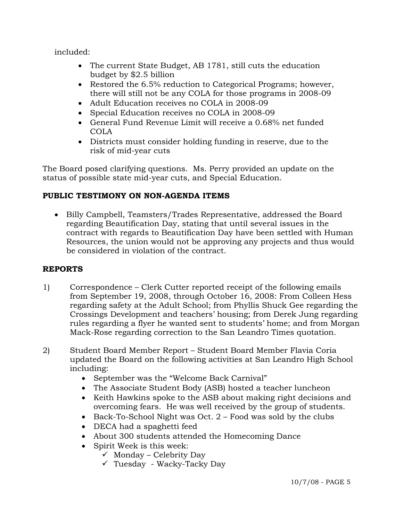included:

- The current State Budget, AB 1781, still cuts the education budget by \$2.5 billion
- Restored the 6.5% reduction to Categorical Programs; however, there will still not be any COLA for those programs in 2008-09
- Adult Education receives no COLA in 2008-09
- Special Education receives no COLA in 2008-09
- General Fund Revenue Limit will receive a 0.68% net funded COLA
- Districts must consider holding funding in reserve, due to the risk of mid-year cuts

The Board posed clarifying questions. Ms. Perry provided an update on the status of possible state mid-year cuts, and Special Education.

# **PUBLIC TESTIMONY ON NON-AGENDA ITEMS**

• Billy Campbell, Teamsters/Trades Representative, addressed the Board regarding Beautification Day, stating that until several issues in the contract with regards to Beautification Day have been settled with Human Resources, the union would not be approving any projects and thus would be considered in violation of the contract.

# **REPORTS**

- 1) Correspondence Clerk Cutter reported receipt of the following emails from September 19, 2008, through October 16, 2008: From Colleen Hess regarding safety at the Adult School; from Phyllis Shuck Gee regarding the Crossings Development and teachers' housing; from Derek Jung regarding rules regarding a flyer he wanted sent to students' home; and from Morgan Mack-Rose regarding correction to the San Leandro Times quotation.
- 2) Student Board Member Report Student Board Member Flavia Coria updated the Board on the following activities at San Leandro High School including:
	- September was the "Welcome Back Carnival"
	- The Associate Student Body (ASB) hosted a teacher luncheon
	- Keith Hawkins spoke to the ASB about making right decisions and overcoming fears. He was well received by the group of students.
	- Back-To-School Night was Oct.  $2$  Food was sold by the clubs
	- DECA had a spaghetti feed
	- About 300 students attended the Homecoming Dance
	- Spirit Week is this week:
		- $\checkmark$  Monday Celebrity Day
		- $\checkmark$  Tuesday Wacky-Tacky Day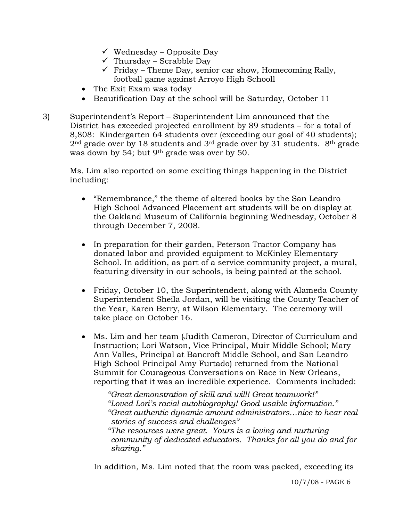- $\checkmark$  Wednesday Opposite Day
- $\checkmark$  Thursday Scrabble Day
- $\checkmark$  Friday Theme Day, senior car show, Homecoming Rally, football game against Arroyo High Schooll
- The Exit Exam was today
- Beautification Day at the school will be Saturday, October 11
- 3) Superintendent's Report Superintendent Lim announced that the District has exceeded projected enrollment by 89 students – for a total of 8,808: Kindergarten 64 students over (exceeding our goal of 40 students);  $2<sup>nd</sup>$  grade over by 18 students and  $3<sup>rd</sup>$  grade over by 31 students.  $8<sup>th</sup>$  grade was down by 54; but 9th grade was over by 50.

Ms. Lim also reported on some exciting things happening in the District including:

- "Remembrance," the theme of altered books by the San Leandro High School Advanced Placement art students will be on display at the Oakland Museum of California beginning Wednesday, October 8 through December 7, 2008.
- In preparation for their garden, Peterson Tractor Company has donated labor and provided equipment to McKinley Elementary School. In addition, as part of a service community project, a mural, featuring diversity in our schools, is being painted at the school.
- Friday, October 10, the Superintendent, along with Alameda County Superintendent Sheila Jordan, will be visiting the County Teacher of the Year, Karen Berry, at Wilson Elementary. The ceremony will take place on October 16.
- Ms. Lim and her team (Judith Cameron, Director of Curriculum and Instruction; Lori Watson, Vice Principal, Muir Middle School; Mary Ann Valles, Principal at Bancroft Middle School, and San Leandro High School Principal Amy Furtado) returned from the National Summit for Courageous Conversations on Race in New Orleans, reporting that it was an incredible experience. Comments included:

*"Great demonstration of skill and will! Great teamwork!" "Loved Lori's racial autobiography! Good usable information." "Great authentic dynamic amount administrators…nice to hear real stories of success and challenges"* 

 *"The resources were great. Yours is a loving and nurturing community of dedicated educators. Thanks for all you do and for sharing."* 

In addition, Ms. Lim noted that the room was packed, exceeding its

10/7/08 - PAGE 6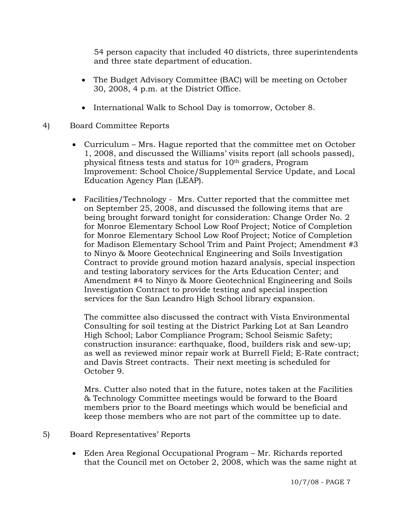54 person capacity that included 40 districts, three superintendents and three state department of education.

- The Budget Advisory Committee (BAC) will be meeting on October 30, 2008, 4 p.m. at the District Office.
- International Walk to School Day is tomorrow, October 8.
- 4) Board Committee Reports
	- Curriculum Mrs. Hague reported that the committee met on October 1, 2008, and discussed the Williams' visits report (all schools passed), physical fitness tests and status for 10th graders, Program Improvement: School Choice/Supplemental Service Update, and Local Education Agency Plan (LEAP).
	- Facilities/Technology Mrs. Cutter reported that the committee met on September 25, 2008, and discussed the following items that are being brought forward tonight for consideration: Change Order No. 2 for Monroe Elementary School Low Roof Project; Notice of Completion for Monroe Elementary School Low Roof Project; Notice of Completion for Madison Elementary School Trim and Paint Project; Amendment #3 to Ninyo & Moore Geotechnical Engineering and Soils Investigation Contract to provide ground motion hazard analysis, special inspection and testing laboratory services for the Arts Education Center; and Amendment #4 to Ninyo & Moore Geotechnical Engineering and Soils Investigation Contract to provide testing and special inspection services for the San Leandro High School library expansion.

The committee also discussed the contract with Vista Environmental Consulting for soil testing at the District Parking Lot at San Leandro High School; Labor Compliance Program; School Seismic Safety; construction insurance: earthquake, flood, builders risk and sew-up; as well as reviewed minor repair work at Burrell Field; E-Rate contract; and Davis Street contracts. Their next meeting is scheduled for October 9.

Mrs. Cutter also noted that in the future, notes taken at the Facilities & Technology Committee meetings would be forward to the Board members prior to the Board meetings which would be beneficial and keep those members who are not part of the committee up to date.

- 5) Board Representatives' Reports
	- Eden Area Regional Occupational Program Mr. Richards reported that the Council met on October 2, 2008, which was the same night at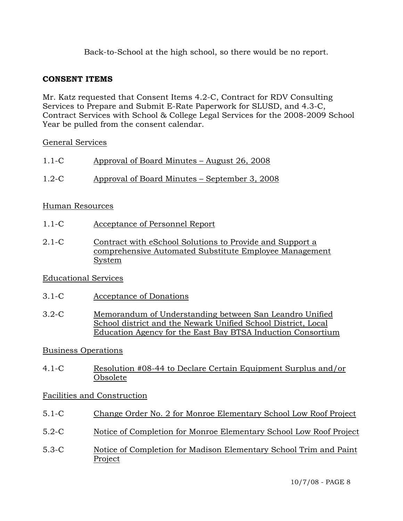Back-to-School at the high school, so there would be no report.

## **CONSENT ITEMS**

Mr. Katz requested that Consent Items 4.2-C, Contract for RDV Consulting Services to Prepare and Submit E-Rate Paperwork for SLUSD, and 4.3-C, Contract Services with School & College Legal Services for the 2008-2009 School Year be pulled from the consent calendar.

## General Services

| $1.1-C$   | Approval of Board Minutes – August 26, 2008   |
|-----------|-----------------------------------------------|
| $1.2 - C$ | Approval of Board Minutes – September 3, 2008 |

# Human Resources

- 1.1-C Acceptance of Personnel Report
- 2.1-C Contract with eSchool Solutions to Provide and Support a comprehensive Automated Substitute Employee Management System

# Educational Services

- 3.1-C Acceptance of Donations
- 3.2-C Memorandum of Understanding between San Leandro Unified School district and the Newark Unified School District, Local Education Agency for the East Bay BTSA Induction Consortium

# Business Operations

4.1-C Resolution #08-44 to Declare Certain Equipment Surplus and/or Obsolete

# Facilities and Construction

- 5.1-C Change Order No. 2 for Monroe Elementary School Low Roof Project
- 5.2-C Notice of Completion for Monroe Elementary School Low Roof Project
- 5.3-C Notice of Completion for Madison Elementary School Trim and Paint Project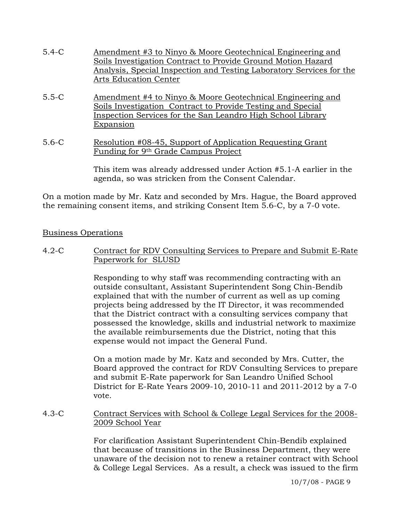- 5.4-C Amendment #3 to Ninyo & Moore Geotechnical Engineering and Soils Investigation Contract to Provide Ground Motion Hazard Analysis, Special Inspection and Testing Laboratory Services for the Arts Education Center
- 5.5-C Amendment #4 to Ninyo & Moore Geotechnical Engineering and Soils Investigation Contract to Provide Testing and Special Inspection Services for the San Leandro High School Library Expansion
- 5.6-C Resolution #08-45, Support of Application Requesting Grant Funding for 9th Grade Campus Project

This item was already addressed under Action #5.1-A earlier in the agenda, so was stricken from the Consent Calendar.

On a motion made by Mr. Katz and seconded by Mrs. Hague, the Board approved the remaining consent items, and striking Consent Item 5.6-C, by a 7-0 vote.

## Business Operations

4.2-C Contract for RDV Consulting Services to Prepare and Submit E-Rate Paperwork for SLUSD

> Responding to why staff was recommending contracting with an outside consultant, Assistant Superintendent Song Chin-Bendib explained that with the number of current as well as up coming projects being addressed by the IT Director, it was recommended that the District contract with a consulting services company that possessed the knowledge, skills and industrial network to maximize the available reimbursements due the District, noting that this expense would not impact the General Fund.

> On a motion made by Mr. Katz and seconded by Mrs. Cutter, the Board approved the contract for RDV Consulting Services to prepare and submit E-Rate paperwork for San Leandro Unified School District for E-Rate Years 2009-10, 2010-11 and 2011-2012 by a 7-0 vote.

#### 4.3-C Contract Services with School & College Legal Services for the 2008- 2009 School Year

For clarification Assistant Superintendent Chin-Bendib explained that because of transitions in the Business Department, they were unaware of the decision not to renew a retainer contract with School & College Legal Services. As a result, a check was issued to the firm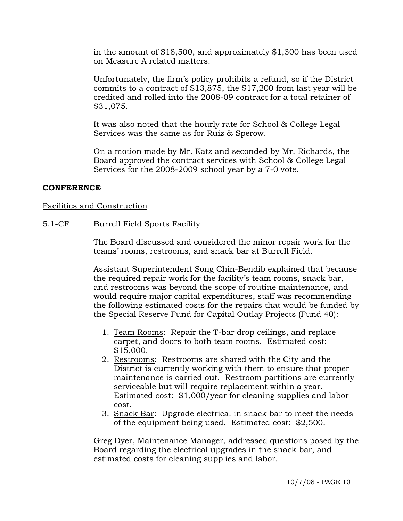in the amount of \$18,500, and approximately \$1,300 has been used on Measure A related matters.

Unfortunately, the firm's policy prohibits a refund, so if the District commits to a contract of \$13,875, the \$17,200 from last year will be credited and rolled into the 2008-09 contract for a total retainer of \$31,075.

It was also noted that the hourly rate for School & College Legal Services was the same as for Ruiz & Sperow.

On a motion made by Mr. Katz and seconded by Mr. Richards, the Board approved the contract services with School & College Legal Services for the 2008-2009 school year by a 7-0 vote.

#### **CONFERENCE**

#### Facilities and Construction

#### 5.1-CF Burrell Field Sports Facility

The Board discussed and considered the minor repair work for the teams' rooms, restrooms, and snack bar at Burrell Field.

Assistant Superintendent Song Chin-Bendib explained that because the required repair work for the facility's team rooms, snack bar, and restrooms was beyond the scope of routine maintenance, and would require major capital expenditures, staff was recommending the following estimated costs for the repairs that would be funded by the Special Reserve Fund for Capital Outlay Projects (Fund 40):

- 1. Team Rooms: Repair the T-bar drop ceilings, and replace carpet, and doors to both team rooms. Estimated cost: \$15,000.
- 2. Restrooms: Restrooms are shared with the City and the District is currently working with them to ensure that proper maintenance is carried out. Restroom partitions are currently serviceable but will require replacement within a year. Estimated cost: \$1,000/year for cleaning supplies and labor cost.
- 3. Snack Bar: Upgrade electrical in snack bar to meet the needs of the equipment being used. Estimated cost: \$2,500.

Greg Dyer, Maintenance Manager, addressed questions posed by the Board regarding the electrical upgrades in the snack bar, and estimated costs for cleaning supplies and labor.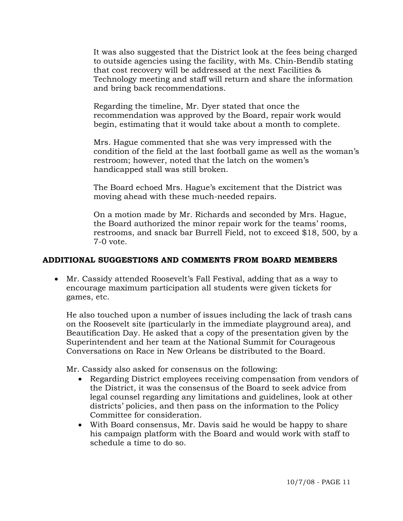It was also suggested that the District look at the fees being charged to outside agencies using the facility, with Ms. Chin-Bendib stating that cost recovery will be addressed at the next Facilities & Technology meeting and staff will return and share the information and bring back recommendations.

Regarding the timeline, Mr. Dyer stated that once the recommendation was approved by the Board, repair work would begin, estimating that it would take about a month to complete.

Mrs. Hague commented that she was very impressed with the condition of the field at the last football game as well as the woman's restroom; however, noted that the latch on the women's handicapped stall was still broken.

The Board echoed Mrs. Hague's excitement that the District was moving ahead with these much-needed repairs.

On a motion made by Mr. Richards and seconded by Mrs. Hague, the Board authorized the minor repair work for the teams' rooms, restrooms, and snack bar Burrell Field, not to exceed \$18, 500, by a 7-0 vote.

## **ADDITIONAL SUGGESTIONS AND COMMENTS FROM BOARD MEMBERS**

• Mr. Cassidy attended Roosevelt's Fall Festival, adding that as a way to encourage maximum participation all students were given tickets for games, etc.

He also touched upon a number of issues including the lack of trash cans on the Roosevelt site (particularly in the immediate playground area), and Beautification Day. He asked that a copy of the presentation given by the Superintendent and her team at the National Summit for Courageous Conversations on Race in New Orleans be distributed to the Board.

Mr. Cassidy also asked for consensus on the following:

- Regarding District employees receiving compensation from vendors of the District, it was the consensus of the Board to seek advice from legal counsel regarding any limitations and guidelines, look at other districts' policies, and then pass on the information to the Policy Committee for consideration.
- With Board consensus, Mr. Davis said he would be happy to share his campaign platform with the Board and would work with staff to schedule a time to do so.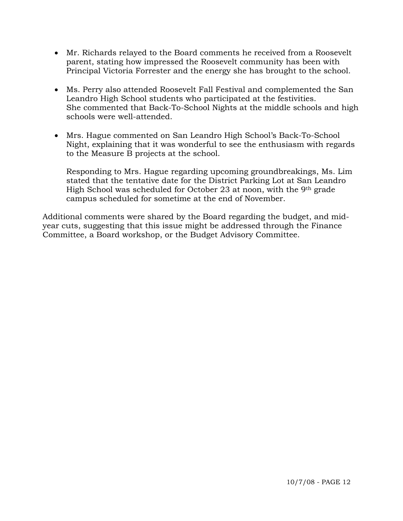- Mr. Richards relayed to the Board comments he received from a Roosevelt parent, stating how impressed the Roosevelt community has been with Principal Victoria Forrester and the energy she has brought to the school.
- Ms. Perry also attended Roosevelt Fall Festival and complemented the San Leandro High School students who participated at the festivities. She commented that Back-To-School Nights at the middle schools and high schools were well-attended.
- Mrs. Hague commented on San Leandro High School's Back-To-School Night, explaining that it was wonderful to see the enthusiasm with regards to the Measure B projects at the school.

Responding to Mrs. Hague regarding upcoming groundbreakings, Ms. Lim stated that the tentative date for the District Parking Lot at San Leandro High School was scheduled for October 23 at noon, with the 9th grade campus scheduled for sometime at the end of November.

Additional comments were shared by the Board regarding the budget, and midyear cuts, suggesting that this issue might be addressed through the Finance Committee, a Board workshop, or the Budget Advisory Committee.